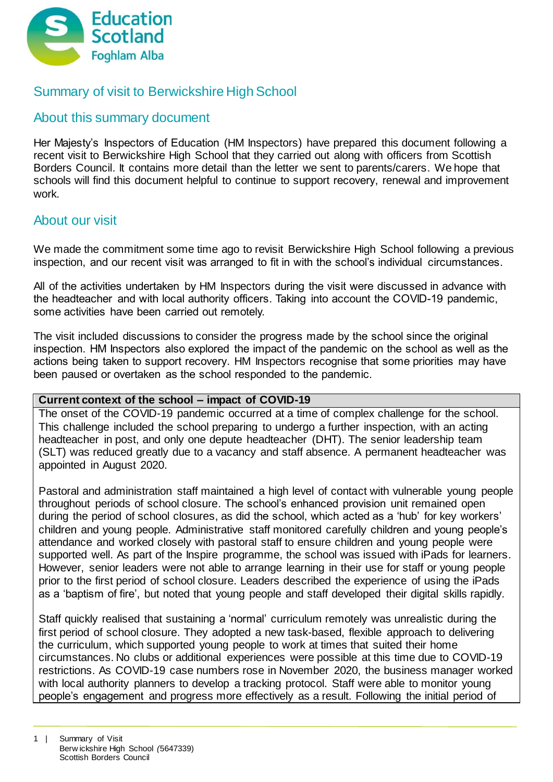

# Summary of visit to Berwickshire High School

## About this summary document

Her Majesty's Inspectors of Education (HM Inspectors) have prepared this document following a recent visit to Berwickshire High School that they carried out along with officers from Scottish Borders Council. It contains more detail than the letter we sent to parents/carers. We hope that schools will find this document helpful to continue to support recovery, renewal and improvement work.

## About our visit

We made the commitment some time ago to revisit Berwickshire High School following a previous inspection, and our recent visit was arranged to fit in with the school's individual circumstances.

All of the activities undertaken by HM Inspectors during the visit were discussed in advance with the headteacher and with local authority officers. Taking into account the COVID-19 pandemic, some activities have been carried out remotely.

The visit included discussions to consider the progress made by the school since the original inspection. HM Inspectors also explored the impact of the pandemic on the school as well as the actions being taken to support recovery. HM Inspectors recognise that some priorities may have been paused or overtaken as the school responded to the pandemic.

## **Current context of the school – impact of COVID-19**

The onset of the COVID-19 pandemic occurred at a time of complex challenge for the school. This challenge included the school preparing to undergo a further inspection, with an acting headteacher in post, and only one depute headteacher (DHT). The senior leadership team (SLT) was reduced greatly due to a vacancy and staff absence. A permanent headteacher was appointed in August 2020.

Pastoral and administration staff maintained a high level of contact with vulnerable young people throughout periods of school closure. The school's enhanced provision unit remained open during the period of school closures, as did the school, which acted as a 'hub' for key workers' children and young people. Administrative staff monitored carefully children and young people's attendance and worked closely with pastoral staff to ensure children and young people were supported well. As part of the Inspire programme, the school was issued with iPads for learners. However, senior leaders were not able to arrange learning in their use for staff or young people prior to the first period of school closure. Leaders described the experience of using the iPads as a 'baptism of fire', but noted that young people and staff developed their digital skills rapidly.

Staff quickly realised that sustaining a 'normal' curriculum remotely was unrealistic during the first period of school closure. They adopted a new task-based, flexible approach to delivering the curriculum, which supported young people to work at times that suited their home circumstances. No clubs or additional experiences were possible at this time due to COVID-19 restrictions. As COVID-19 case numbers rose in November 2020, the business manager worked with local authority planners to develop a tracking protocol. Staff were able to monitor young people's engagement and progress more effectively as a result. Following the initial period of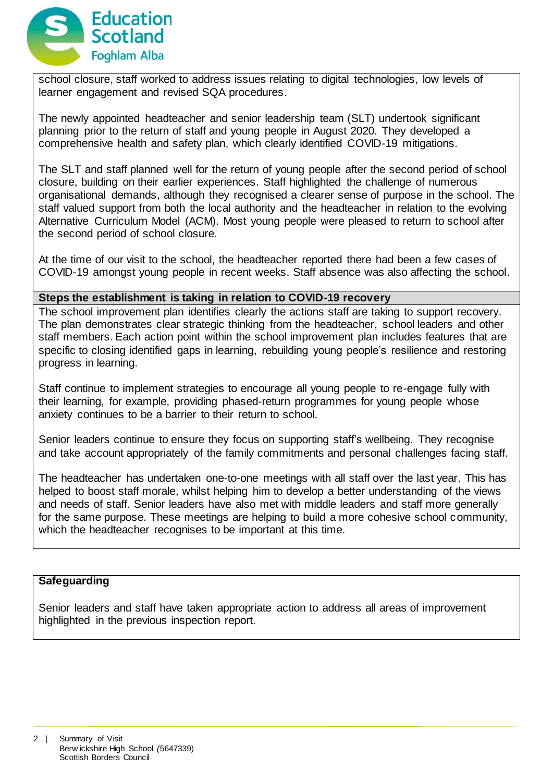

school closure, staff worked to address issues relating to digital technologies, low levels of learner engagement and revised SQA procedures.

The newly appointed headteacher and senior leadership team (SLT) undertook significant planning prior to the return of staff and young people in August 2020. They developed a comprehensive health and safety plan, which clearly identified COVID-19 mitigations.

The SLT and staff planned well for the return of young people after the second period of school closure, building on their earlier experiences. Staff highlighted the challenge of numerous organisational demands, although they recognised a clearer sense of purpose in the school. The staff valued support from both the local authority and the headteacher in relation to the evolving Alternative Curriculum Model (ACM). Most young people were pleased to return to school after the second period of school closure.

At the time of our visit to the school, the headteacher reported there had been a few cases of COVID-19 amongst young people in recent weeks. Staff absence was also affecting the school.

#### **Steps the establishment is taking in relation to COVID-19 recovery**

The school improvement plan identifies clearly the actions staff are taking to support recovery. The plan demonstrates clear strategic thinking from the headteacher, school leaders and other staff members. Each action point within the school improvement plan includes features that are specific to closing identified gaps in learning, rebuilding young people's resilience and restoring progress in learning.

Staff continue to implement strategies to encourage all young people to re-engage fully with their learning, for example, providing phased-return programmes for young people whose anxiety continues to be a barrier to their return to school.

Senior leaders continue to ensure they focus on supporting staff's wellbeing. They recognise and take account appropriately of the family commitments and personal challenges facing staff.

The headteacher has undertaken one-to-one meetings with all staff over the last year. This has helped to boost staff morale, whilst helping him to develop a better understanding of the views and needs of staff. Senior leaders have also met with middle leaders and staff more generally for the same purpose. These meetings are helping to build a more cohesive school community, which the headteacher recognises to be important at this time.

#### **Safeguarding**

Senior leaders and staff have taken appropriate action to address all areas of improvement highlighted in the previous inspection report.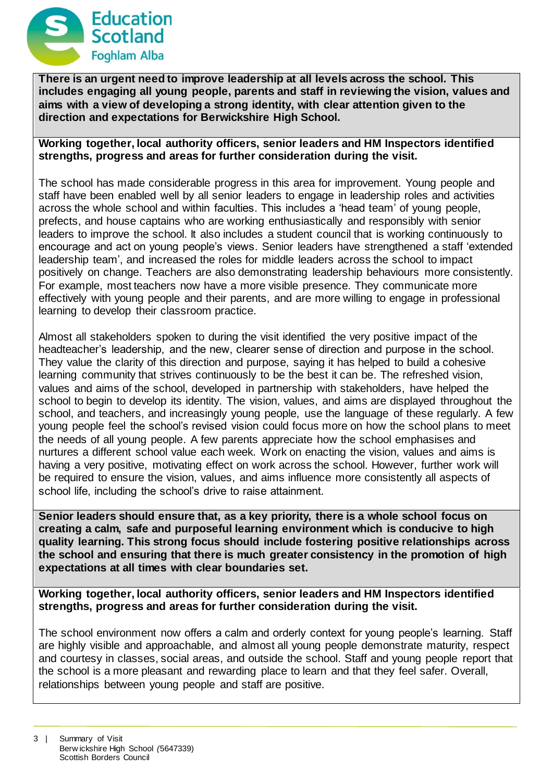

**There is an urgent need to improve leadership at all levels across the school. This includes engaging all young people, parents and staff in reviewing the vision, values and aims with a view of developing a strong identity, with clear attention given to the direction and expectations for Berwickshire High School.**

### **Working together, local authority officers, senior leaders and HM Inspectors identified strengths, progress and areas for further consideration during the visit.**

The school has made considerable progress in this area for improvement. Young people and staff have been enabled well by all senior leaders to engage in leadership roles and activities across the whole school and within faculties. This includes a 'head team' of young people, prefects, and house captains who are working enthusiastically and responsibly with senior leaders to improve the school. It also includes a student council that is working continuously to encourage and act on young people's views. Senior leaders have strengthened a staff 'extended leadership team', and increased the roles for middle leaders across the school to impact positively on change. Teachers are also demonstrating leadership behaviours more consistently. For example, most teachers now have a more visible presence. They communicate more effectively with young people and their parents, and are more willing to engage in professional learning to develop their classroom practice.

Almost all stakeholders spoken to during the visit identified the very positive impact of the headteacher's leadership, and the new, clearer sense of direction and purpose in the school. They value the clarity of this direction and purpose, saying it has helped to build a cohesive learning community that strives continuously to be the best it can be. The refreshed vision, values and aims of the school, developed in partnership with stakeholders, have helped the school to begin to develop its identity. The vision, values, and aims are displayed throughout the school, and teachers, and increasingly young people, use the language of these regularly. A few young people feel the school's revised vision could focus more on how the school plans to meet the needs of all young people. A few parents appreciate how the school emphasises and nurtures a different school value each week. Work on enacting the vision, values and aims is having a very positive, motivating effect on work across the school. However, further work will be required to ensure the vision, values, and aims influence more consistently all aspects of school life, including the school's drive to raise attainment.

**Senior leaders should ensure that, as a key priority, there is a whole school focus on creating a calm, safe and purposeful learning environment which is conducive to high quality learning. This strong focus should include fostering positive relationships across the school and ensuring that there is much greater consistency in the promotion of high expectations at all times with clear boundaries set.**

**Working together, local authority officers, senior leaders and HM Inspectors identified strengths, progress and areas for further consideration during the visit.**

The school environment now offers a calm and orderly context for young people's learning. Staff are highly visible and approachable, and almost all young people demonstrate maturity, respect and courtesy in classes, social areas, and outside the school. Staff and young people report that the school is a more pleasant and rewarding place to learn and that they feel safer. Overall, relationships between young people and staff are positive.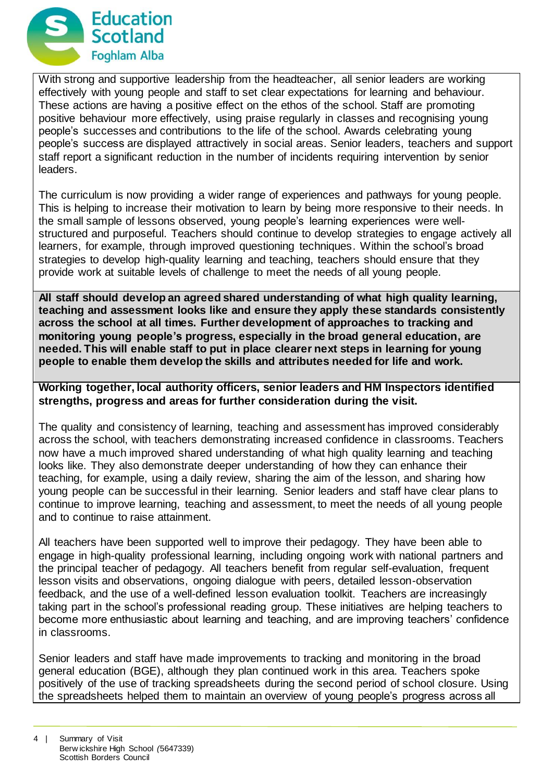

With strong and supportive leadership from the headteacher, all senior leaders are working effectively with young people and staff to set clear expectations for learning and behaviour. These actions are having a positive effect on the ethos of the school. Staff are promoting positive behaviour more effectively, using praise regularly in classes and recognising young people's successes and contributions to the life of the school. Awards celebrating young people's success are displayed attractively in social areas. Senior leaders, teachers and support staff report a significant reduction in the number of incidents requiring intervention by senior leaders.

The curriculum is now providing a wider range of experiences and pathways for young people. This is helping to increase their motivation to learn by being more responsive to their needs. In the small sample of lessons observed, young people's learning experiences were wellstructured and purposeful. Teachers should continue to develop strategies to engage actively all learners, for example, through improved questioning techniques. Within the school's broad strategies to develop high-quality learning and teaching, teachers should ensure that they provide work at suitable levels of challenge to meet the needs of all young people.

**All staff should develop an agreed shared understanding of what high quality learning, teaching and assessment looks like and ensure they apply these standards consistently across the school at all times. Further development of approaches to tracking and monitoring young people's progress, especially in the broad general education, are needed. This will enable staff to put in place clearer next steps in learning for young people to enable them develop the skills and attributes needed for life and work.**

**Working together, local authority officers, senior leaders and HM Inspectors identified strengths, progress and areas for further consideration during the visit.**

The quality and consistency of learning, teaching and assessment has improved considerably across the school, with teachers demonstrating increased confidence in classrooms. Teachers now have a much improved shared understanding of what high quality learning and teaching looks like. They also demonstrate deeper understanding of how they can enhance their teaching, for example, using a daily review, sharing the aim of the lesson, and sharing how young people can be successful in their learning. Senior leaders and staff have clear plans to continue to improve learning, teaching and assessment, to meet the needs of all young people and to continue to raise attainment.

All teachers have been supported well to improve their pedagogy. They have been able to engage in high-quality professional learning, including ongoing work with national partners and the principal teacher of pedagogy. All teachers benefit from regular self-evaluation, frequent lesson visits and observations, ongoing dialogue with peers, detailed lesson-observation feedback, and the use of a well-defined lesson evaluation toolkit. Teachers are increasingly taking part in the school's professional reading group. These initiatives are helping teachers to become more enthusiastic about learning and teaching, and are improving teachers' confidence in classrooms.

Senior leaders and staff have made improvements to tracking and monitoring in the broad general education (BGE), although they plan continued work in this area. Teachers spoke positively of the use of tracking spreadsheets during the second period of school closure. Using the spreadsheets helped them to maintain an overview of young people's progress across all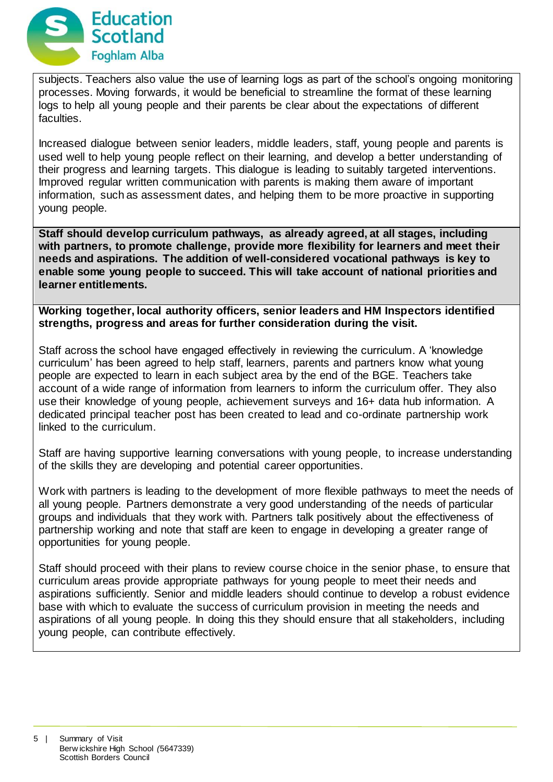

subjects. Teachers also value the use of learning logs as part of the school's ongoing monitoring processes. Moving forwards, it would be beneficial to streamline the format of these learning logs to help all young people and their parents be clear about the expectations of different faculties.

Increased dialogue between senior leaders, middle leaders, staff, young people and parents is used well to help young people reflect on their learning, and develop a better understanding of their progress and learning targets. This dialogue is leading to suitably targeted interventions. Improved regular written communication with parents is making them aware of important information, such as assessment dates, and helping them to be more proactive in supporting young people.

**Staff should develop curriculum pathways, as already agreed, at all stages, including with partners, to promote challenge, provide more flexibility for learners and meet their needs and aspirations. The addition of well-considered vocational pathways is key to enable some young people to succeed. This will take account of national priorities and learner entitlements.**

**Working together, local authority officers, senior leaders and HM Inspectors identified strengths, progress and areas for further consideration during the visit.**

Staff across the school have engaged effectively in reviewing the curriculum. A 'knowledge curriculum' has been agreed to help staff, learners, parents and partners know what young people are expected to learn in each subject area by the end of the BGE. Teachers take account of a wide range of information from learners to inform the curriculum offer. They also use their knowledge of young people, achievement surveys and 16+ data hub information. A dedicated principal teacher post has been created to lead and co-ordinate partnership work linked to the curriculum.

Staff are having supportive learning conversations with young people, to increase understanding of the skills they are developing and potential career opportunities.

Work with partners is leading to the development of more flexible pathways to meet the needs of all young people. Partners demonstrate a very good understanding of the needs of particular groups and individuals that they work with. Partners talk positively about the effectiveness of partnership working and note that staff are keen to engage in developing a greater range of opportunities for young people.

Staff should proceed with their plans to review course choice in the senior phase, to ensure that curriculum areas provide appropriate pathways for young people to meet their needs and aspirations sufficiently. Senior and middle leaders should continue to develop a robust evidence base with which to evaluate the success of curriculum provision in meeting the needs and aspirations of all young people. In doing this they should ensure that all stakeholders, including young people, can contribute effectively.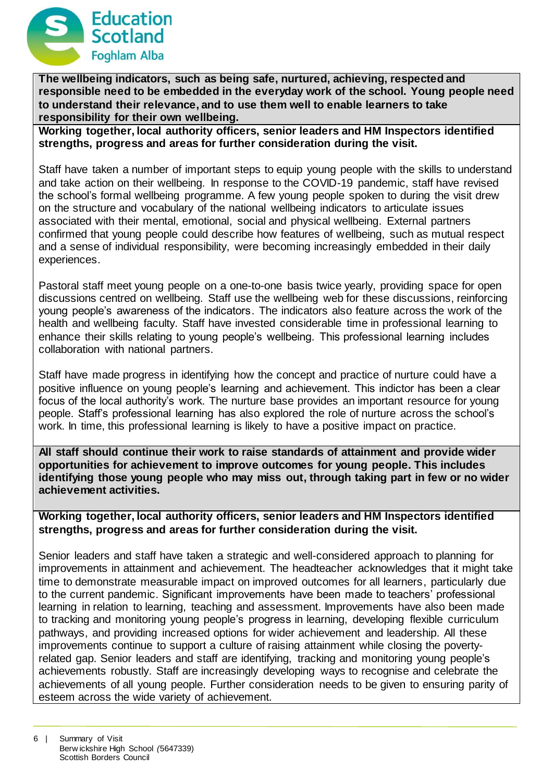

**The wellbeing indicators, such as being safe, nurtured, achieving, respected and responsible need to be embedded in the everyday work of the school. Young people need to understand their relevance, and to use them well to enable learners to take responsibility for their own wellbeing.**

**Working together, local authority officers, senior leaders and HM Inspectors identified strengths, progress and areas for further consideration during the visit.**

Staff have taken a number of important steps to equip young people with the skills to understand and take action on their wellbeing. In response to the COVID-19 pandemic, staff have revised the school's formal wellbeing programme. A few young people spoken to during the visit drew on the structure and vocabulary of the national wellbeing indicators to articulate issues associated with their mental, emotional, social and physical wellbeing. External partners confirmed that young people could describe how features of wellbeing, such as mutual respect and a sense of individual responsibility, were becoming increasingly embedded in their daily experiences.

Pastoral staff meet young people on a one-to-one basis twice yearly, providing space for open discussions centred on wellbeing. Staff use the wellbeing web for these discussions, reinforcing young people's awareness of the indicators. The indicators also feature across the work of the health and wellbeing faculty. Staff have invested considerable time in professional learning to enhance their skills relating to young people's wellbeing. This professional learning includes collaboration with national partners.

Staff have made progress in identifying how the concept and practice of nurture could have a positive influence on young people's learning and achievement. This indictor has been a clear focus of the local authority's work. The nurture base provides an important resource for young people. Staff's professional learning has also explored the role of nurture across the school's work. In time, this professional learning is likely to have a positive impact on practice.

**All staff should continue their work to raise standards of attainment and provide wider opportunities for achievement to improve outcomes for young people. This includes identifying those young people who may miss out, through taking part in few or no wider achievement activities.**

**Working together, local authority officers, senior leaders and HM Inspectors identified strengths, progress and areas for further consideration during the visit.**

Senior leaders and staff have taken a strategic and well-considered approach to planning for improvements in attainment and achievement. The headteacher acknowledges that it might take time to demonstrate measurable impact on improved outcomes for all learners, particularly due to the current pandemic. Significant improvements have been made to teachers' professional learning in relation to learning, teaching and assessment. Improvements have also been made to tracking and monitoring young people's progress in learning, developing flexible curriculum pathways, and providing increased options for wider achievement and leadership. All these improvements continue to support a culture of raising attainment while closing the povertyrelated gap. Senior leaders and staff are identifying, tracking and monitoring young people's achievements robustly. Staff are increasingly developing ways to recognise and celebrate the achievements of all young people. Further consideration needs to be given to ensuring parity of esteem across the wide variety of achievement.